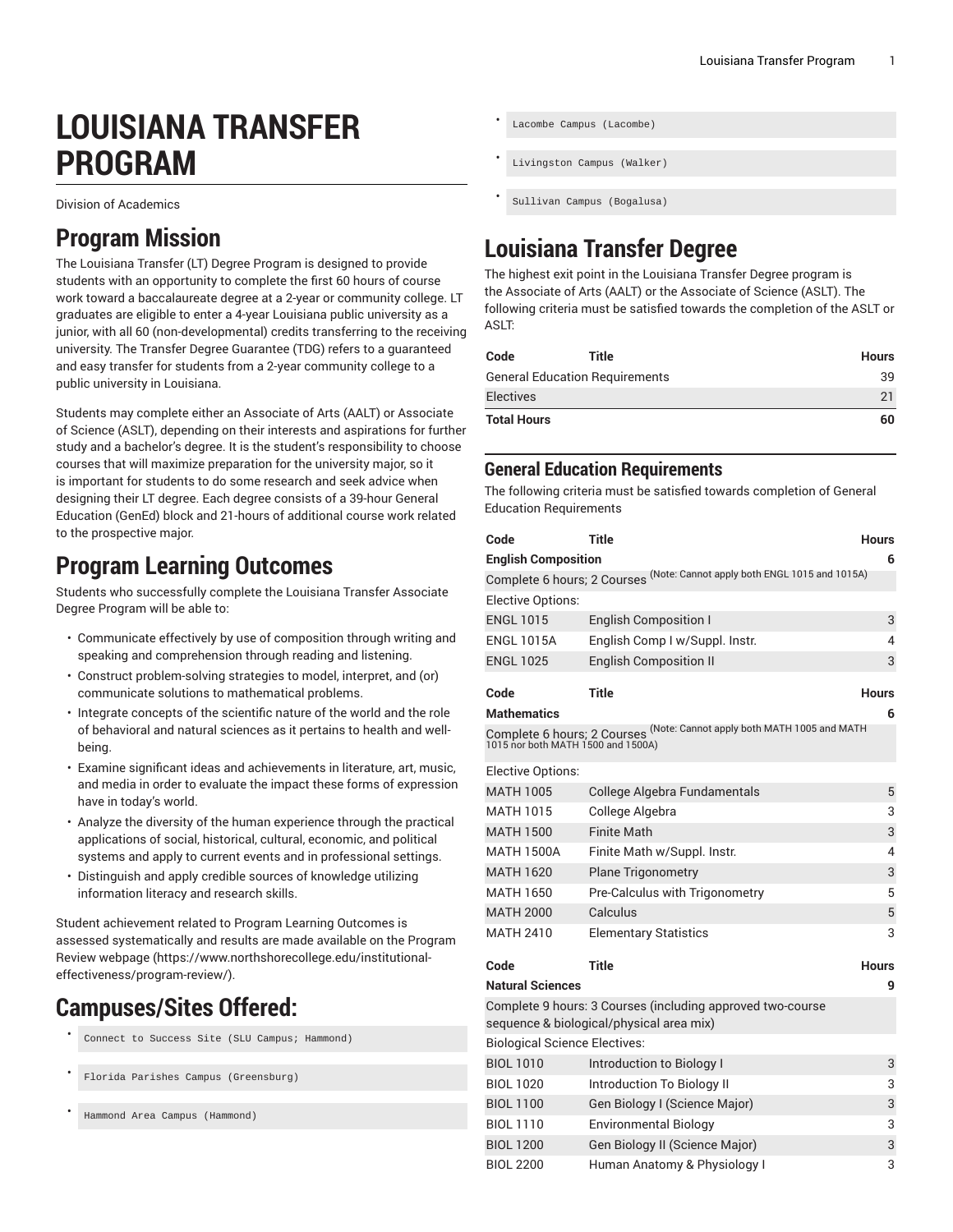# **LOUISIANA TRANSFER PROGRAM**

Division of Academics

### **Program Mission**

The Louisiana Transfer (LT) Degree Program is designed to provide students with an opportunity to complete the first 60 hours of course work toward a baccalaureate degree at a 2-year or community college. LT graduates are eligible to enter a 4-year Louisiana public university as a junior, with all 60 (non-developmental) credits transferring to the receiving university. The Transfer Degree Guarantee (TDG) refers to a guaranteed and easy transfer for students from a 2-year community college to a public university in Louisiana.

Students may complete either an Associate of Arts (AALT) or Associate of Science (ASLT), depending on their interests and aspirations for further study and a bachelor's degree. It is the student's responsibility to choose courses that will maximize preparation for the university major, so it is important for students to do some research and seek advice when designing their LT degree. Each degree consists of a 39-hour General Education (GenEd) block and 21-hours of additional course work related to the prospective major.

### **Program Learning Outcomes**

Students who successfully complete the Louisiana Transfer Associate Degree Program will be able to:

- Communicate effectively by use of composition through writing and speaking and comprehension through reading and listening.
- Construct problem-solving strategies to model, interpret, and (or) communicate solutions to mathematical problems.
- Integrate concepts of the scientific nature of the world and the role of behavioral and natural sciences as it pertains to health and wellbeing.
- Examine significant ideas and achievements in literature, art, music, and media in order to evaluate the impact these forms of expression have in today's world.
- Analyze the diversity of the human experience through the practical applications of social, historical, cultural, economic, and political systems and apply to current events and in professional settings.
- Distinguish and apply credible sources of knowledge utilizing information literacy and research skills.

Student achievement related to Program Learning Outcomes is assessed systematically and results are made available on the [Program](https://www.northshorecollege.edu/institutional-effectiveness/program-review/) Review [webpage](https://www.northshorecollege.edu/institutional-effectiveness/program-review/) ([https://www.northshorecollege.edu/institutional](https://www.northshorecollege.edu/institutional-effectiveness/program-review/)[effectiveness/program-review/\)](https://www.northshorecollege.edu/institutional-effectiveness/program-review/).

## **Campuses/Sites Offered:**

- Connect to Success Site (SLU Campus; Hammond)
- Florida Parishes Campus (Greensburg)
- Hammond Area Campus (Hammond)

```
Lacombe Campus (Lacombe)
```
Livingston Campus (Walker)

```
• Sullivan Campus (Bogalusa)
```
## **Louisiana Transfer Degree**

The highest exit point in the Louisiana Transfer Degree program is the Associate of Arts (AALT) or the Associate of Science (ASLT). The following criteria must be satisfied towards the completion of the ASLT or ASLT:

| Code                           | Title | <b>Hours</b> |
|--------------------------------|-------|--------------|
| General Education Requirements |       | 39           |
| <b>Electives</b>               |       | 21           |
| <b>Total Hours</b>             |       | 60           |

### **General Education Requirements**

The following criteria must be satisfied towards completion of General Education Requirements

| Code                                                                                                                                                 | Title                                                                                                  | <b>Hours</b> |
|------------------------------------------------------------------------------------------------------------------------------------------------------|--------------------------------------------------------------------------------------------------------|--------------|
| <b>English Composition</b>                                                                                                                           |                                                                                                        | 6            |
|                                                                                                                                                      | Complete 6 hours; 2 Courses <sup>(Note: Cannot apply both ENGL 1015 and 1015A)</sup>                   |              |
| Elective Options:                                                                                                                                    |                                                                                                        |              |
| <b>ENGL 1015</b>                                                                                                                                     | <b>English Composition I</b>                                                                           | 3            |
| <b>ENGL 1015A</b>                                                                                                                                    | English Comp I w/Suppl. Instr.                                                                         | 4            |
| <b>ENGL 1025</b>                                                                                                                                     | <b>English Composition II</b>                                                                          | 3            |
|                                                                                                                                                      | Title                                                                                                  |              |
| Code                                                                                                                                                 |                                                                                                        | <b>Hours</b> |
| <b>Mathematics</b><br>6<br>Complete 6 hours; 2 Courses <sup>(Note: Cannot apply both MATH 1005 and MATH<br/>1015 nor both MATH 1500 and 1500A)</sup> |                                                                                                        |              |
| Elective Options:                                                                                                                                    |                                                                                                        |              |
| <b>MATH 1005</b>                                                                                                                                     | College Algebra Fundamentals                                                                           | 5            |
| <b>MATH 1015</b>                                                                                                                                     | College Algebra                                                                                        | 3            |
| <b>MATH 1500</b>                                                                                                                                     | Finite Math                                                                                            | 3            |
| <b>MATH 1500A</b>                                                                                                                                    | Finite Math w/Suppl. Instr.                                                                            | 4            |
| <b>MATH 1620</b>                                                                                                                                     | <b>Plane Trigonometry</b>                                                                              | 3            |
| <b>MATH 1650</b>                                                                                                                                     | Pre-Calculus with Trigonometry                                                                         | 5            |
| <b>MATH 2000</b>                                                                                                                                     | Calculus                                                                                               | 5            |
| MATH 2410                                                                                                                                            | <b>Elementary Statistics</b>                                                                           | 3            |
| Code                                                                                                                                                 | <b>Title</b>                                                                                           | Hours        |
| <b>Natural Sciences</b>                                                                                                                              |                                                                                                        | 9            |
|                                                                                                                                                      | Complete 9 hours: 3 Courses (including approved two-course<br>sequence & biological/physical area mix) |              |
| <b>Biological Science Electives:</b>                                                                                                                 |                                                                                                        |              |
| <b>BIOL 1010</b>                                                                                                                                     | Introduction to Biology I                                                                              | 3            |
| <b>BIOL 1020</b>                                                                                                                                     | Introduction To Biology II                                                                             | 3            |
| <b>BIOL 1100</b>                                                                                                                                     | Gen Biology I (Science Major)                                                                          | 3            |
| <b>BIOL 1110</b>                                                                                                                                     | <b>Environmental Biology</b>                                                                           | 3            |
| <b>BIOL 1200</b>                                                                                                                                     | Gen Biology II (Science Major)                                                                         | 3            |
| <b>BIOL 2200</b>                                                                                                                                     | Human Anatomy & Physiology I                                                                           | 3            |